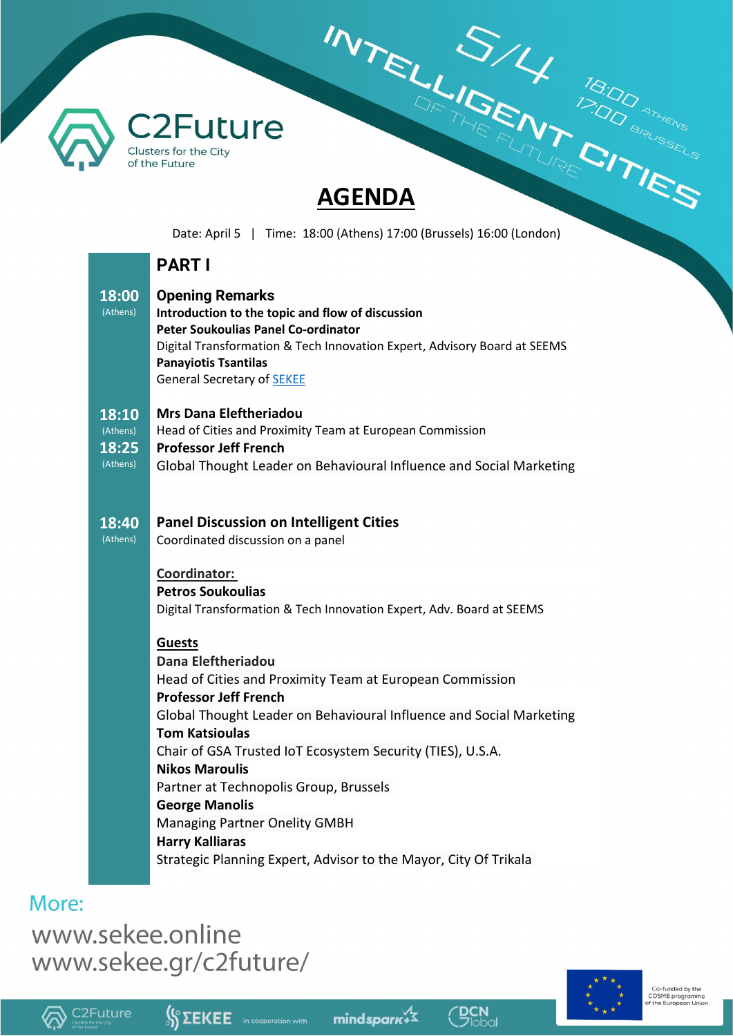

# **INTELLIGENT ISOD ATTES**

Date: April 5 | Time: 18:00 (Athens) 17:00 (Brussels) 16:00 (London)

# **PART I**

| 18:00<br>(Athens)                      | <b>Opening Remarks</b><br>Introduction to the topic and flow of discussion<br><b>Peter Soukoulias Panel Co-ordinator</b><br>Digital Transformation & Tech Innovation Expert, Advisory Board at SEEMS<br><b>Panayiotis Tsantilas</b><br><b>General Secretary of SEKEE</b>                                                                                                                  |
|----------------------------------------|-------------------------------------------------------------------------------------------------------------------------------------------------------------------------------------------------------------------------------------------------------------------------------------------------------------------------------------------------------------------------------------------|
| 18:10<br>(Athens)<br>18:25<br>(Athens) | <b>Mrs Dana Eleftheriadou</b><br>Head of Cities and Proximity Team at European Commission<br><b>Professor Jeff French</b><br>Global Thought Leader on Behavioural Influence and Social Marketing                                                                                                                                                                                          |
| 18:40<br>(Athens)                      | <b>Panel Discussion on Intelligent Cities</b><br>Coordinated discussion on a panel                                                                                                                                                                                                                                                                                                        |
|                                        | Coordinator:<br><b>Petros Soukoulias</b><br>Digital Transformation & Tech Innovation Expert, Adv. Board at SEEMS                                                                                                                                                                                                                                                                          |
|                                        | <b>Guests</b><br>Dana Eleftheriadou<br>Head of Cities and Proximity Team at European Commission<br><b>Professor Jeff French</b><br>Global Thought Leader on Behavioural Influence and Social Marketing<br><b>Tom Katsioulas</b><br>Chair of GSA Trusted IoT Ecosystem Security (TIES), U.S.A.<br><b>Nikos Maroulis</b><br>Partner at Technopolis Group, Brussels<br><b>George Manolis</b> |
|                                        | <b>Managing Partner Onelity GMBH</b><br><b>Harry Kalliaras</b><br>Strategic Planning Expert, Advisor to the Mayor, City Of Trikala                                                                                                                                                                                                                                                        |

# More:

www.sekee.online www.sekee.gr/c2future/